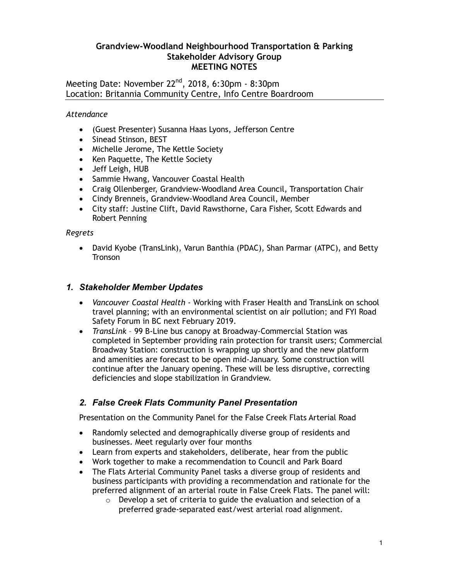# **Grandview-Woodland Neighbourhood Transportation & Parking Stakeholder Advisory Group MEETING NOTES**

Meeting Date: November 22<sup>nd</sup>, 2018, 6:30pm - 8:30pm Location: Britannia Community Centre, Info Centre Boardroom

*Attendance*

- (Guest Presenter) Susanna Haas Lyons, Jefferson Centre
- Sinead Stinson, BEST
- Michelle Jerome, The Kettle Society
- Ken Paquette, The Kettle Society
- Jeff Leigh, HUB
- Sammie Hwang, Vancouver Coastal Health
- Craig Ollenberger, Grandview-Woodland Area Council, Transportation Chair
- Cindy Brenneis, Grandview-Woodland Area Council, Member
- City staff: Justine Clift, David Rawsthorne, Cara Fisher, Scott Edwards and Robert Penning

*Regrets*

 David Kyobe (TransLink), Varun Banthia (PDAC), Shan Parmar (ATPC), and Betty **Tronson** 

# *1. Stakeholder Member Updates*

- *Vancouver Coastal Health* Working with Fraser Health and TransLink on school travel planning; with an environmental scientist on air pollution; and FYI Road Safety Forum in BC next February 2019.
- *TransLink* 99 B-Line bus canopy at Broadway-Commercial Station was completed in September providing rain protection for transit users; Commercial Broadway Station: construction is wrapping up shortly and the new platform and amenities are forecast to be open mid-January. Some construction will continue after the January opening. These will be less disruptive, correcting deficiencies and slope stabilization in Grandview.

# *2. False Creek Flats Community Panel Presentation*

Presentation on the Community Panel for the False Creek Flats Arterial Road

- Randomly selected and demographically diverse group of residents and businesses. Meet regularly over four months
- Learn from experts and stakeholders, deliberate, hear from the public
- Work together to make a recommendation to Council and Park Board
- The Flats Arterial Community Panel tasks a diverse group of residents and business participants with providing a recommendation and rationale for the preferred alignment of an arterial route in False Creek Flats. The panel will:
	- o Develop a set of criteria to guide the evaluation and selection of a preferred grade-separated east/west arterial road alignment.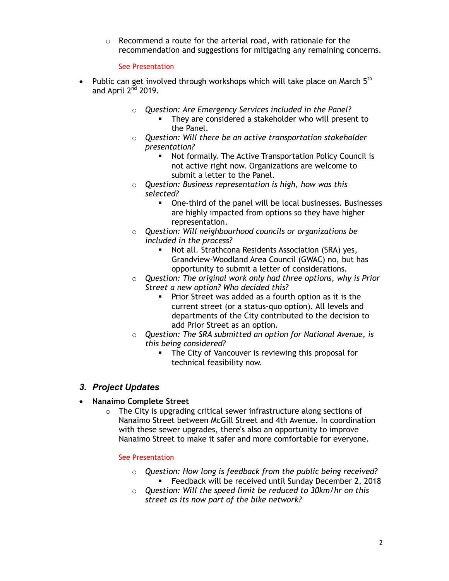o Recommend a route for the arterial road, with rationale for the recommendation and suggestions for mitigating any remaining concerns.

#### See Presentation

- Public can get involved through workshops which will take place on March  $5<sup>th</sup>$ and April  $2^{nd}$  2019.
	- o *Question: Are Emergency Services included in the Panel?*
		- They are considered a stakeholder who will present to the Panel.
	- o *Question: Will there be an active transportation stakeholder presentation?*
		- Not formally. The Active Transportation Policy Council is not active right now. Organizations are welcome to submit a letter to the Panel.
	- o *Question: Business representation is high, how was this selected?*
		- One-third of the panel will be local businesses. Businesses are highly impacted from options so they have higher representation.
	- o *Question: Will neighbourhood councils or organizations be included in the process?*
		- Not all. Strathcona Residents Association (SRA) yes, Grandview-Woodland Area Council (GWAC) no, but has opportunity to submit a letter of considerations.
	- o *Question: The original work only had three options, why is Prior Street a new option? Who decided this?*
		- **Prior Street was added as a fourth option as it is the** current street (or a status-quo option). All levels and departments of the City contributed to the decision to add Prior Street as an option.
	- o *Question: The SRA submitted an option for National Avenue, is this being considered?*
		- **The City of Vancouver is reviewing this proposal for** technical feasibility now.

# *3. Project Updates*

- **Nanaimo Complete Street**
	- o The City is upgrading critical sewer infrastructure along sections of Nanaimo Street between McGill Street and 4th Avenue. In coordination with these sewer upgrades, there's also an opportunity to improve Nanaimo Street to make it safer and more comfortable for everyone.

#### See Presentation

- o *Question: How long is feedback from the public being received?* **Feedback will be received until Sunday December 2, 2018**
- o *Question: Will the speed limit be reduced to 30km/hr on this street as its now part of the bike network?*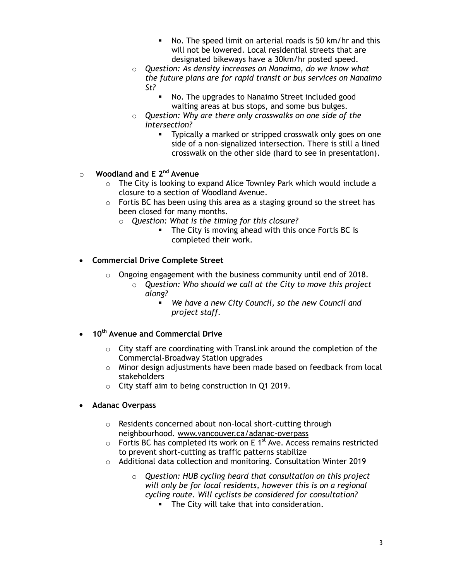- No. The speed limit on arterial roads is 50 km/hr and this will not be lowered. Local residential streets that are designated bikeways have a 30km/hr posted speed.
- o *Question: As density increases on Nanaimo, do we know what the future plans are for rapid transit or bus services on Nanaimo St?* 
	- No. The upgrades to Nanaimo Street included good waiting areas at bus stops, and some bus bulges.
- o *Question: Why are there only crosswalks on one side of the intersection?*
	- **Typically a marked or stripped crosswalk only goes on one** side of a non-signalized intersection. There is still a lined crosswalk on the other side (hard to see in presentation).

# o **Woodland and E 2nd Avenue**

- o The City is looking to expand Alice Townley Park which would include a closure to a section of Woodland Avenue.
- o Fortis BC has been using this area as a staging ground so the street has been closed for many months.
	- o *Question: What is the timing for this closure?*
		- The City is moving ahead with this once Fortis BC is completed their work.

# **Commercial Drive Complete Street**

- $\circ$  Ongoing engagement with the business community until end of 2018.
	- o *Question: Who should we call at the City to move this project along?*
		- *We have a new City Council, so the new Council and project staff.*
- **10th Avenue and Commercial Drive**
	- o City staff are coordinating with TransLink around the completion of the Commercial-Broadway Station upgrades
	- $\circ$  Minor design adjustments have been made based on feedback from local stakeholders
	- o City staff aim to being construction in Q1 2019.
- **Adanac Overpass**
	- o Residents concerned about non-local short-cutting through neighbourhood. www.vancouver.ca/adanac-overpass
	- $\circ$  Fortis BC has completed its work on E 1<sup>st</sup> Ave. Access remains restricted to prevent short-cutting as traffic patterns stabilize
	- o Additional data collection and monitoring. Consultation Winter 2019
		- o *Question: HUB cycling heard that consultation on this project will only be for local residents, however this is on a regional cycling route. Will cyclists be considered for consultation?*
			- **The City will take that into consideration.**